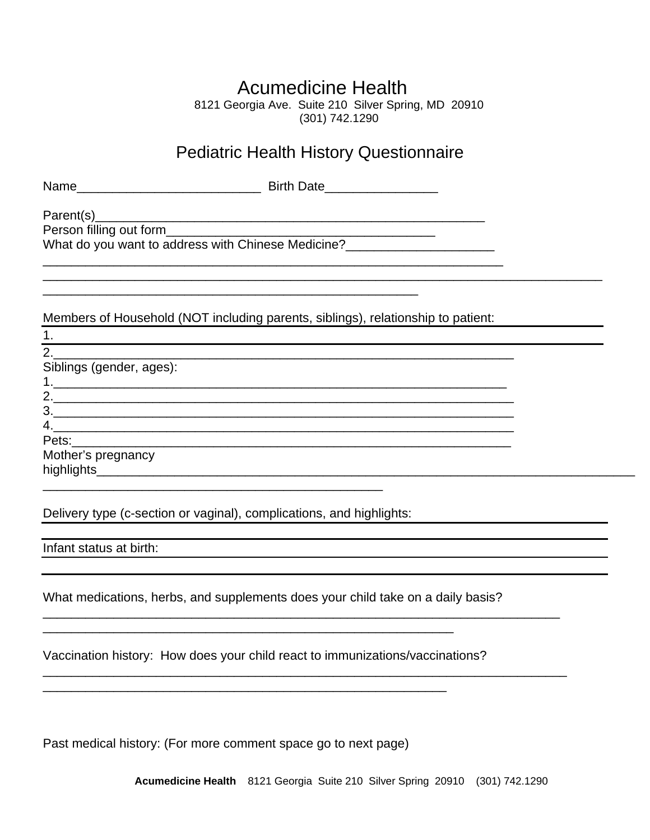## Acumedicine Health

8121 Georgia Ave. Suite 210 Silver Spring, MD 20910 (301) 742.1290

## Pediatric Health History Questionnaire

\_\_\_\_\_\_\_\_\_\_\_\_\_\_\_\_\_\_\_\_\_\_\_\_\_\_\_\_\_\_\_\_\_\_\_\_\_\_\_\_\_\_\_\_\_\_\_\_\_\_\_\_\_\_\_\_\_\_\_\_\_\_\_\_\_\_\_\_\_\_\_\_\_\_\_\_\_\_\_

| Name | n:.ul<br><b>DIITIL DAIG</b> |
|------|-----------------------------|
|      |                             |

Parent(s)\_\_\_\_\_\_\_\_\_\_\_\_\_\_\_\_\_\_\_\_\_\_\_\_\_\_\_\_\_\_\_\_\_\_\_\_\_\_\_\_\_\_\_\_\_\_\_\_\_\_\_\_\_\_\_

Person filling out form **Example 20** and the set of the set of the set of the set of the set of the set of the set of the set of the set of the set of the set of the set of the set of the set of the set of the set of the s

What do you want to address with Chinese Medicine?

Members of Household (NOT including parents, siblings), relationship to patient:

\_\_\_\_\_\_\_\_\_\_\_\_\_\_\_\_\_\_\_\_\_\_\_\_\_\_\_\_\_\_\_\_\_\_\_\_\_\_\_\_\_\_\_\_\_\_\_\_\_\_\_\_\_

\_\_\_\_\_\_\_\_\_\_\_\_\_\_\_\_\_\_\_\_\_\_\_\_\_\_\_\_\_\_\_\_\_\_\_\_\_\_\_\_\_\_\_\_\_\_\_\_\_\_\_\_\_\_\_\_\_\_\_\_\_\_\_\_\_

| 1.                          |  |
|-----------------------------|--|
| $\mathcal{P}_{\mathcal{C}}$ |  |
| Siblings (gender, ages):    |  |
| 1.                          |  |
| 2.                          |  |
| 3.                          |  |
| 4.                          |  |
|                             |  |
| Mother's pregnancy          |  |
| highlights__________        |  |
|                             |  |

Delivery type (c-section or vaginal), complications, and highlights:

Infant status at birth:

What medications, herbs, and supplements does your child take on a daily basis?

\_\_\_\_\_\_\_\_\_\_\_\_\_\_\_\_\_\_\_\_\_\_\_\_\_\_\_\_\_\_\_\_\_\_\_\_\_\_\_\_\_\_\_\_\_\_\_\_\_\_\_\_\_\_\_\_\_\_\_\_\_\_\_\_\_\_\_\_\_\_\_\_\_

\_\_\_\_\_\_\_\_\_\_\_\_\_\_\_\_\_\_\_\_\_\_\_\_\_\_\_\_\_\_\_\_\_\_\_\_\_\_\_\_\_\_\_\_\_\_\_\_\_\_\_\_\_\_\_\_\_\_\_\_\_\_\_\_\_\_\_\_\_\_\_\_\_\_

Vaccination history: How does your child react to immunizations/vaccinations?

\_\_\_\_\_\_\_\_\_\_\_\_\_\_\_\_\_\_\_\_\_\_\_\_\_\_\_\_\_\_\_\_\_\_\_\_\_\_\_\_\_\_\_\_\_\_\_\_\_\_\_\_\_\_\_\_\_\_

\_\_\_\_\_\_\_\_\_\_\_\_\_\_\_\_\_\_\_\_\_\_\_\_\_\_\_\_\_\_\_\_\_\_\_\_\_\_\_\_\_\_\_\_\_\_\_\_\_\_\_\_\_\_\_\_\_

Past medical history: (For more comment space go to next page)

**Acumedicine Health** 8121 Georgia Suite 210 Silver Spring 20910 (301) 742.1290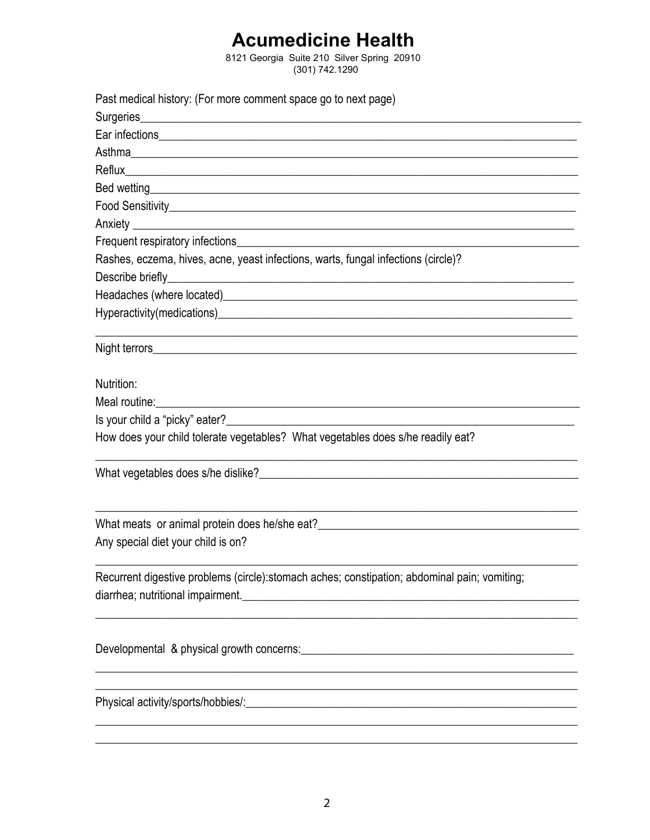## **Acumedicine Health**

8121 Georgia Suite 210 Silver Spring 20910  $(301) 742.1290$ 

| Past medical history: (For more comment space go to next page)                                                                                                                                                                       |
|--------------------------------------------------------------------------------------------------------------------------------------------------------------------------------------------------------------------------------------|
|                                                                                                                                                                                                                                      |
|                                                                                                                                                                                                                                      |
|                                                                                                                                                                                                                                      |
|                                                                                                                                                                                                                                      |
|                                                                                                                                                                                                                                      |
|                                                                                                                                                                                                                                      |
|                                                                                                                                                                                                                                      |
|                                                                                                                                                                                                                                      |
| Rashes, eczema, hives, acne, yeast infections, warts, fungal infections (circle)?                                                                                                                                                    |
|                                                                                                                                                                                                                                      |
|                                                                                                                                                                                                                                      |
|                                                                                                                                                                                                                                      |
|                                                                                                                                                                                                                                      |
| Nutrition:                                                                                                                                                                                                                           |
| Meal routine: <u>contract and contract and contract and contract and contract and contract and contract and contract and contract and contract and contract and contract and contract and contract and contract and contract and</u> |
|                                                                                                                                                                                                                                      |
| How does your child tolerate vegetables? What vegetables does s/he readily eat?                                                                                                                                                      |
|                                                                                                                                                                                                                                      |
| What meats or animal protein does he/she eat?<br>The anti-                                                                                                                                                                           |
| Any special diet your child is on?                                                                                                                                                                                                   |
| Recurrent digestive problems (circle): stomach aches; constipation; abdominal pain; vomiting;                                                                                                                                        |
|                                                                                                                                                                                                                                      |
| <u> 1989 - Johann Stoff, amerikansk politiker (d. 1989)</u>                                                                                                                                                                          |
|                                                                                                                                                                                                                                      |